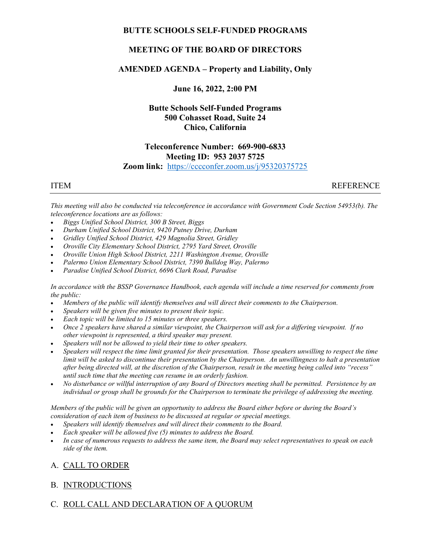## BUTTE SCHOOLS SELF-FUNDED PROGRAMS

# MEETING OF THE BOARD OF DIRECTORS

## AMENDED AGENDA – Property and Liability, Only

June 16, 2022, 2:00 PM

# Butte Schools Self-Funded Programs 500 Cohasset Road, Suite 24 Chico, California

## Teleconference Number: 669-900-6833 Meeting ID: 953 2037 5725 Zoom link: https://cccconfer.zoom.us/j/95320375725

ITEM REFERENCE

This meeting will also be conducted via teleconference in accordance with Government Code Section 54953(b). The teleconference locations are as follows:

- Biggs Unified School District, 300 B Street, Biggs
- Durham Unified School District, 9420 Putney Drive, Durham
- Gridley Unified School District, 429 Magnolia Street, Gridley
- Oroville City Elementary School District, 2795 Yard Street, Oroville
- Oroville Union High School District, 2211 Washington Avenue, Oroville
- Palermo Union Elementary School District, 7390 Bulldog Way, Palermo
- Paradise Unified School District, 6696 Clark Road, Paradise

In accordance with the BSSP Governance Handbook, each agenda will include a time reserved for comments from the public:

- Members of the public will identify themselves and will direct their comments to the Chairperson.
- Speakers will be given five minutes to present their topic.
- Each topic will be limited to 15 minutes or three speakers.
- Once 2 speakers have shared a similar viewpoint, the Chairperson will ask for a differing viewpoint. If no other viewpoint is represented, a third speaker may present.
- Speakers will not be allowed to yield their time to other speakers.
- Speakers will respect the time limit granted for their presentation. Those speakers unwilling to respect the time limit will be asked to discontinue their presentation by the Chairperson. An unwillingness to halt a presentation after being directed will, at the discretion of the Chairperson, result in the meeting being called into "recess" until such time that the meeting can resume in an orderly fashion.
- No disturbance or willful interruption of any Board of Directors meeting shall be permitted. Persistence by an individual or group shall be grounds for the Chairperson to terminate the privilege of addressing the meeting.

Members of the public will be given an opportunity to address the Board either before or during the Board's consideration of each item of business to be discussed at regular or special meetings.

- Speakers will identify themselves and will direct their comments to the Board.
- Each speaker will be allowed five (5) minutes to address the Board.
- In case of numerous requests to address the same item, the Board may select representatives to speak on each side of the item.

# A. CALL TO ORDER

## B. INTRODUCTIONS

# C. ROLL CALL AND DECLARATION OF A QUORUM